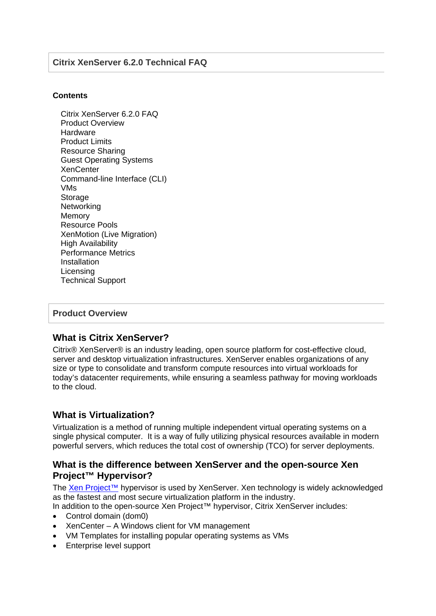### **Citrix XenServer 6.2.0 Technical FAQ**

#### **Contents**

Citrix XenServer 6.2.0 FAQ Product Overview Hardware Product Limits Resource Sharing Guest Operating Systems **XenCenter** Command-line Interface (CLI) VMs Storage **Networking** Memory Resource Pools XenMotion (Live Migration) High Availability Performance Metrics Installation Licensing Technical Support

#### **Product Overview**

## **What is Citrix XenServer?**

Citrix® XenServer® is an industry leading, open source platform for cost-effective cloud, server and desktop virtualization infrastructures. XenServer enables organizations of any size or type to consolidate and transform compute resources into virtual workloads for today's datacenter requirements, while ensuring a seamless pathway for moving workloads to the cloud.

## **What is Virtualization?**

Virtualization is a method of running multiple independent virtual operating systems on a single physical computer. It is a way of fully utilizing physical resources available in modern powerful servers, which reduces the total cost of ownership (TCO) for server deployments.

#### **What is the difference between XenServer and the open-source Xen Project™ Hypervisor?**

The Xen Project™ hypervisor is used by XenServer. Xen technology is widely acknowledged as the fastest and most secure virtualization platform in the industry.

In addition to the open-source Xen Project™ hypervisor, Citrix XenServer includes:

- Control domain (dom0)
- XenCenter A Windows client for VM management
- VM Templates for installing popular operating systems as VMs
- Enterprise level support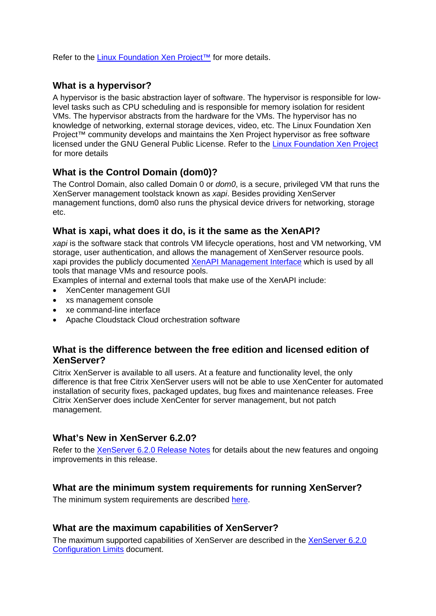Refer to the Linux Foundation Xen Project™ for more details.

# **What is a hypervisor?**

A hypervisor is the basic abstraction layer of software. The hypervisor is responsible for lowlevel tasks such as CPU scheduling and is responsible for memory isolation for resident VMs. The hypervisor abstracts from the hardware for the VMs. The hypervisor has no knowledge of networking, external storage devices, video, etc. The Linux Foundation Xen Project™ community develops and maintains the Xen Project hypervisor as free software licensed under the GNU General Public License. Refer to the Linux Foundation Xen Project for more details

# **What is the Control Domain (dom0)?**

The Control Domain, also called Domain 0 or *dom0*, is a secure, privileged VM that runs the XenServer management toolstack known as *xapi*. Besides providing XenServer management functions, dom0 also runs the physical device drivers for networking, storage etc.

## **What is xapi, what does it do, is it the same as the XenAPI?**

*xapi* is the software stack that controls VM lifecycle operations, host and VM networking, VM storage, user authentication, and allows the management of XenServer resource pools. xapi provides the publicly documented XenAPI Management Interface which is used by all tools that manage VMs and resource pools.

Examples of internal and external tools that make use of the XenAPI include:

- XenCenter management GUI
- xs management console
- xe command-line interface
- Apache Cloudstack Cloud orchestration software

## **What is the difference between the free edition and licensed edition of XenServer?**

Citrix XenServer is available to all users. At a feature and functionality level, the only difference is that free Citrix XenServer users will not be able to use XenCenter for automated installation of security fixes, packaged updates, bug fixes and maintenance releases. Free Citrix XenServer does include XenCenter for server management, but not patch management.

## **What's New in XenServer 6.2.0?**

Refer to the **XenServer 6.2.0 Release Notes** for details about the new features and ongoing improvements in this release.

## **What are the minimum system requirements for running XenServer?**

The minimum system requirements are described here.

## **What are the maximum capabilities of XenServer?**

The maximum supported capabilities of XenServer are described in the XenServer 6.2.0 Configuration Limits document.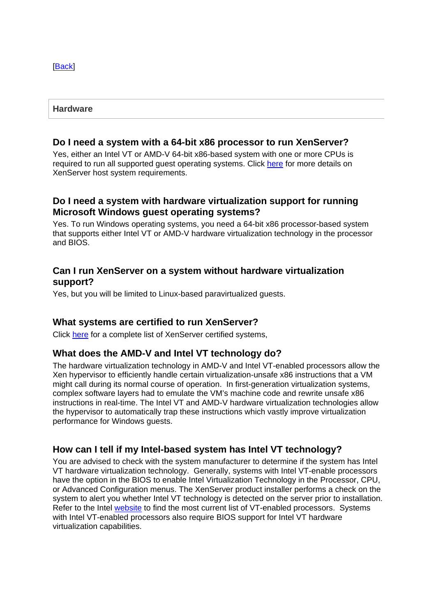#### [Back]

#### **Hardware**

#### **Do I need a system with a 64-bit x86 processor to run XenServer?**

Yes, either an Intel VT or AMD-V 64-bit x86-based system with one or more CPUs is required to run all supported guest operating systems. Click here for more details on XenServer host system requirements.

## **Do I need a system with hardware virtualization support for running Microsoft Windows guest operating systems?**

Yes. To run Windows operating systems, you need a 64-bit x86 processor-based system that supports either Intel VT or AMD-V hardware virtualization technology in the processor and BIOS.

### **Can I run XenServer on a system without hardware virtualization support?**

Yes, but you will be limited to Linux-based paravirtualized guests.

#### **What systems are certified to run XenServer?**

Click here for a complete list of XenServer certified systems,

## **What does the AMD-V and Intel VT technology do?**

The hardware virtualization technology in AMD-V and Intel VT-enabled processors allow the Xen hypervisor to efficiently handle certain virtualization-unsafe x86 instructions that a VM might call during its normal course of operation. In first-generation virtualization systems, complex software layers had to emulate the VM's machine code and rewrite unsafe x86 instructions in real-time. The Intel VT and AMD-V hardware virtualization technologies allow the hypervisor to automatically trap these instructions which vastly improve virtualization performance for Windows guests.

#### **How can I tell if my Intel-based system has Intel VT technology?**

You are advised to check with the system manufacturer to determine if the system has Intel VT hardware virtualization technology. Generally, systems with Intel VT-enable processors have the option in the BIOS to enable Intel Virtualization Technology in the Processor, CPU, or Advanced Configuration menus. The XenServer product installer performs a check on the system to alert you whether Intel VT technology is detected on the server prior to installation. Refer to the Intel website to find the most current list of VT-enabled processors. Systems with Intel VT-enabled processors also require BIOS support for Intel VT hardware virtualization capabilities.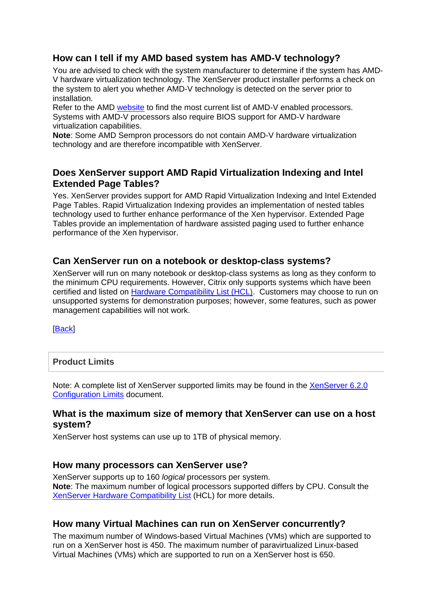# **How can I tell if my AMD based system has AMD-V technology?**

You are advised to check with the system manufacturer to determine if the system has AMD-V hardware virtualization technology. The XenServer product installer performs a check on the system to alert you whether AMD-V technology is detected on the server prior to installation.

Refer to the AMD website to find the most current list of AMD-V enabled processors. Systems with AMD-V processors also require BIOS support for AMD-V hardware virtualization capabilities.

**Note**: Some AMD Sempron processors do not contain AMD-V hardware virtualization technology and are therefore incompatible with XenServer.

## **Does XenServer support AMD Rapid Virtualization Indexing and Intel Extended Page Tables?**

Yes. XenServer provides support for AMD Rapid Virtualization Indexing and Intel Extended Page Tables. Rapid Virtualization Indexing provides an implementation of nested tables technology used to further enhance performance of the Xen hypervisor. Extended Page Tables provide an implementation of hardware assisted paging used to further enhance performance of the Xen hypervisor.

### **Can XenServer run on a notebook or desktop-class systems?**

XenServer will run on many notebook or desktop-class systems as long as they conform to the minimum CPU requirements. However, Citrix only supports systems which have been certified and listed on Hardware Compatibility List (HCL). Customers may choose to run on unsupported systems for demonstration purposes; however, some features, such as power management capabilities will not work.

[Back]

#### **Product Limits**

Note: A complete list of XenServer supported limits may be found in the XenServer 6.2.0 Configuration Limits document.

### **What is the maximum size of memory that XenServer can use on a host system?**

XenServer host systems can use up to 1TB of physical memory.

#### **How many processors can XenServer use?**

XenServer supports up to 160 *logical* processors per system. **Note**: The maximum number of logical processors supported differs by CPU. Consult the XenServer Hardware Compatibility List (HCL) for more details.

## **How many Virtual Machines can run on XenServer concurrently?**

The maximum number of Windows-based Virtual Machines (VMs) which are supported to run on a XenServer host is 450. The maximum number of paravirtualized Linux-based Virtual Machines (VMs) which are supported to run on a XenServer host is 650.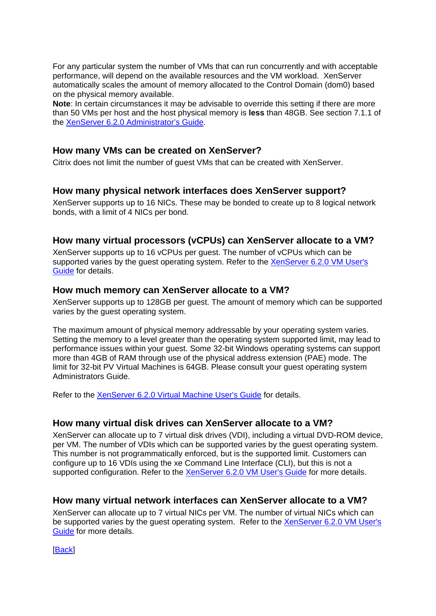For any particular system the number of VMs that can run concurrently and with acceptable performance, will depend on the available resources and the VM workload. XenServer automatically scales the amount of memory allocated to the Control Domain (dom0) based on the physical memory available.

**Note**: In certain circumstances it may be advisable to override this setting if there are more than 50 VMs per host and the host physical memory is **less** than 48GB. See section 7.1.1 of the XenServer 6.2.0 Administrator's Guide.

### **How many VMs can be created on XenServer?**

Citrix does not limit the number of guest VMs that can be created with XenServer.

### **How many physical network interfaces does XenServer support?**

XenServer supports up to 16 NICs. These may be bonded to create up to 8 logical network bonds, with a limit of 4 NICs per bond.

### **How many virtual processors (vCPUs) can XenServer allocate to a VM?**

XenServer supports up to 16 vCPUs per guest. The number of vCPUs which can be supported varies by the quest operating system. Refer to the XenServer 6.2.0 VM User's Guide for details.

#### **How much memory can XenServer allocate to a VM?**

XenServer supports up to 128GB per guest. The amount of memory which can be supported varies by the guest operating system.

The maximum amount of physical memory addressable by your operating system varies. Setting the memory to a level greater than the operating system supported limit, may lead to performance issues within your guest. Some 32-bit Windows operating systems can support more than 4GB of RAM through use of the physical address extension (PAE) mode. The limit for 32-bit PV Virtual Machines is 64GB. Please consult your guest operating system Administrators Guide.

Refer to the **XenServer 6.2.0 Virtual Machine User's Guide** for details.

#### **How many virtual disk drives can XenServer allocate to a VM?**

XenServer can allocate up to 7 virtual disk drives (VDI), including a virtual DVD-ROM device, per VM. The number of VDIs which can be supported varies by the guest operating system. This number is not programmatically enforced, but is the supported limit. Customers can configure up to 16 VDIs using the xe Command Line Interface (CLI), but this is not a supported configuration. Refer to the XenServer 6.2.0 VM User's Guide for more details.

#### **How many virtual network interfaces can XenServer allocate to a VM?**

XenServer can allocate up to 7 virtual NICs per VM. The number of virtual NICs which can be supported varies by the guest operating system. Refer to the **XenServer 6.2.0 VM User's** Guide for more details.

[Back]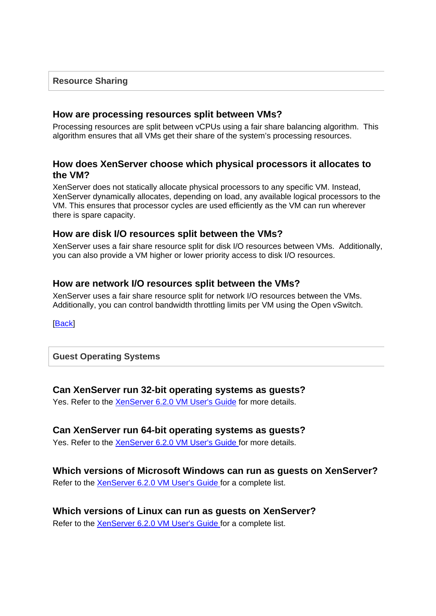### **How are processing resources split between VMs?**

Processing resources are split between vCPUs using a fair share balancing algorithm. This algorithm ensures that all VMs get their share of the system's processing resources.

## **How does XenServer choose which physical processors it allocates to the VM?**

XenServer does not statically allocate physical processors to any specific VM. Instead, XenServer dynamically allocates, depending on load, any available logical processors to the VM. This ensures that processor cycles are used efficiently as the VM can run wherever there is spare capacity.

#### **How are disk I/O resources split between the VMs?**

XenServer uses a fair share resource split for disk I/O resources between VMs. Additionally, you can also provide a VM higher or lower priority access to disk I/O resources.

#### **How are network I/O resources split between the VMs?**

XenServer uses a fair share resource split for network I/O resources between the VMs. Additionally, you can control bandwidth throttling limits per VM using the Open vSwitch.

[Back]

#### **Guest Operating Systems**

#### **Can XenServer run 32-bit operating systems as guests?**

Yes. Refer to the XenServer 6.2.0 VM User's Guide for more details.

## **Can XenServer run 64-bit operating systems as guests?**

Yes. Refer to the XenServer 6.2.0 VM User's Guide for more details.

#### **Which versions of Microsoft Windows can run as guests on XenServer?**

Refer to the **XenServer 6.2.0 VM User's Guide** for a complete list.

# **Which versions of Linux can run as guests on XenServer?**

Refer to the XenServer 6.2.0 VM User's Guide for a complete list.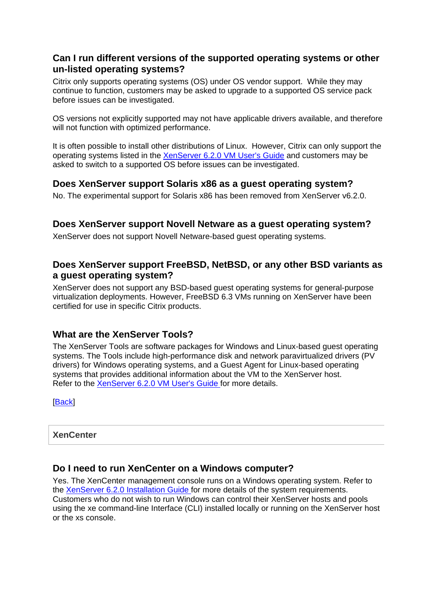## **Can I run different versions of the supported operating systems or other un-listed operating systems?**

Citrix only supports operating systems (OS) under OS vendor support. While they may continue to function, customers may be asked to upgrade to a supported OS service pack before issues can be investigated.

OS versions not explicitly supported may not have applicable drivers available, and therefore will not function with optimized performance.

It is often possible to install other distributions of Linux. However, Citrix can only support the operating systems listed in the XenServer 6.2.0 VM User's Guide and customers may be asked to switch to a supported OS before issues can be investigated.

### **Does XenServer support Solaris x86 as a guest operating system?**

No. The experimental support for Solaris x86 has been removed from XenServer v6.2.0.

## **Does XenServer support Novell Netware as a guest operating system?**

XenServer does not support Novell Netware-based guest operating systems.

# **Does XenServer support FreeBSD, NetBSD, or any other BSD variants as a guest operating system?**

XenServer does not support any BSD-based guest operating systems for general-purpose virtualization deployments. However, FreeBSD 6.3 VMs running on XenServer have been certified for use in specific Citrix products.

## **What are the XenServer Tools?**

The XenServer Tools are software packages for Windows and Linux-based guest operating systems. The Tools include high-performance disk and network paravirtualized drivers (PV drivers) for Windows operating systems, and a Guest Agent for Linux-based operating systems that provides additional information about the VM to the XenServer host. Refer to the XenServer 6.2.0 VM User's Guide for more details.

[Back]

**XenCenter** 

## **Do I need to run XenCenter on a Windows computer?**

Yes. The XenCenter management console runs on a Windows operating system. Refer to the XenServer 6.2.0 Installation Guide for more details of the system requirements. Customers who do not wish to run Windows can control their XenServer hosts and pools using the xe command-line Interface (CLI) installed locally or running on the XenServer host or the xs console.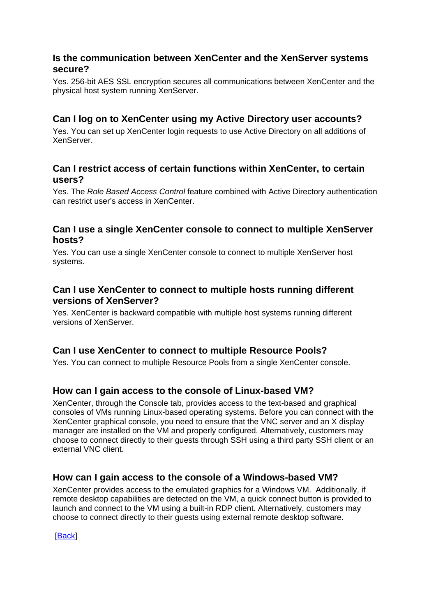## **Is the communication between XenCenter and the XenServer systems secure?**

Yes. 256-bit AES SSL encryption secures all communications between XenCenter and the physical host system running XenServer.

## **Can I log on to XenCenter using my Active Directory user accounts?**

Yes. You can set up XenCenter login requests to use Active Directory on all additions of XenServer.

### **Can I restrict access of certain functions within XenCenter, to certain users?**

Yes. The *Role Based Access Control* feature combined with Active Directory authentication can restrict user's access in XenCenter.

### **Can I use a single XenCenter console to connect to multiple XenServer hosts?**

Yes. You can use a single XenCenter console to connect to multiple XenServer host systems.

## **Can I use XenCenter to connect to multiple hosts running different versions of XenServer?**

Yes. XenCenter is backward compatible with multiple host systems running different versions of XenServer.

## **Can I use XenCenter to connect to multiple Resource Pools?**

Yes. You can connect to multiple Resource Pools from a single XenCenter console.

## **How can I gain access to the console of Linux-based VM?**

XenCenter, through the Console tab, provides access to the text-based and graphical consoles of VMs running Linux-based operating systems. Before you can connect with the XenCenter graphical console, you need to ensure that the VNC server and an X display manager are installed on the VM and properly configured. Alternatively, customers may choose to connect directly to their guests through SSH using a third party SSH client or an external VNC client.

## **How can I gain access to the console of a Windows-based VM?**

XenCenter provides access to the emulated graphics for a Windows VM. Additionally, if remote desktop capabilities are detected on the VM, a quick connect button is provided to launch and connect to the VM using a built-in RDP client. Alternatively, customers may choose to connect directly to their guests using external remote desktop software.

**IBack**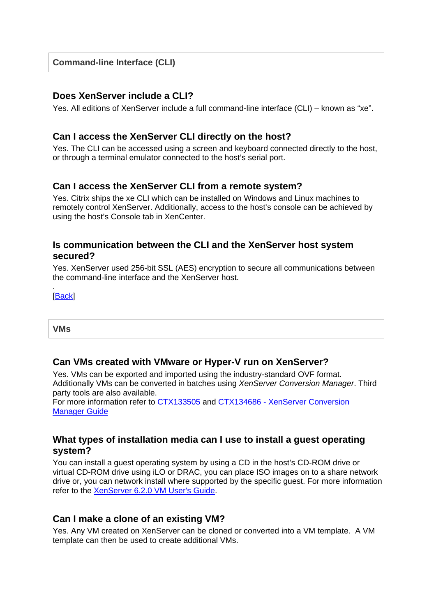**Command-line Interface (CLI)** 

### **Does XenServer include a CLI?**

Yes. All editions of XenServer include a full command-line interface (CLI) – known as "xe".

### **Can I access the XenServer CLI directly on the host?**

Yes. The CLI can be accessed using a screen and keyboard connected directly to the host, or through a terminal emulator connected to the host's serial port.

### **Can I access the XenServer CLI from a remote system?**

Yes. Citrix ships the xe CLI which can be installed on Windows and Linux machines to remotely control XenServer. Additionally, access to the host's console can be achieved by using the host's Console tab in XenCenter.

### **Is communication between the CLI and the XenServer host system secured?**

Yes. XenServer used 256-bit SSL (AES) encryption to secure all communications between the command-line interface and the XenServer host.

[Back]

.

**VMs** 

#### **Can VMs created with VMware or Hyper-V run on XenServer?**

Yes. VMs can be exported and imported using the industry-standard OVF format. Additionally VMs can be converted in batches using *XenServer Conversion Manager*. Third party tools are also available.

For more information refer to CTX133505 and CTX134686 - XenServer Conversion Manager Guide

#### **What types of installation media can I use to install a guest operating system?**

You can install a guest operating system by using a CD in the host's CD-ROM drive or virtual CD-ROM drive using iLO or DRAC, you can place ISO images on to a share network drive or, you can network install where supported by the specific guest. For more information refer to the XenServer 6.2.0 VM User's Guide.

#### **Can I make a clone of an existing VM?**

Yes. Any VM created on XenServer can be cloned or converted into a VM template. A VM template can then be used to create additional VMs.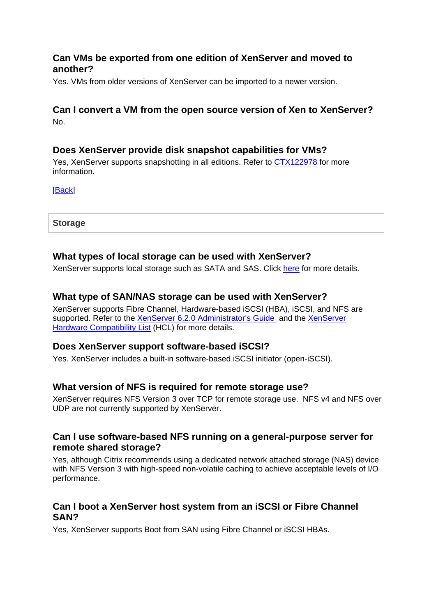# **Can VMs be exported from one edition of XenServer and moved to another?**

Yes. VMs from older versions of XenServer can be imported to a newer version.

# **Can I convert a VM from the open source version of Xen to XenServer?**  No.

# **Does XenServer provide disk snapshot capabilities for VMs?**

Yes, XenServer supports snapshotting in all editions. Refer to CTX122978 for more information.

[Back]

**Storage** 

## **What types of local storage can be used with XenServer?**

XenServer supports local storage such as SATA and SAS. Click here for more details.

### **What type of SAN/NAS storage can be used with XenServer?**

XenServer supports Fibre Channel, Hardware-based iSCSI (HBA), iSCSI, and NFS are supported. Refer to the XenServer 6.2.0 Administrator's Guide and the XenServer Hardware Compatibility List (HCL) for more details.

#### **Does XenServer support software-based iSCSI?**

Yes. XenServer includes a built-in software-based iSCSI initiator (open-iSCSI).

## **What version of NFS is required for remote storage use?**

XenServer requires NFS Version 3 over TCP for remote storage use. NFS v4 and NFS over UDP are not currently supported by XenServer.

### **Can I use software-based NFS running on a general-purpose server for remote shared storage?**

Yes, although Citrix recommends using a dedicated network attached storage (NAS) device with NFS Version 3 with high-speed non-volatile caching to achieve acceptable levels of I/O performance.

# **Can I boot a XenServer host system from an iSCSI or Fibre Channel SAN?**

Yes, XenServer supports Boot from SAN using Fibre Channel or iSCSI HBAs.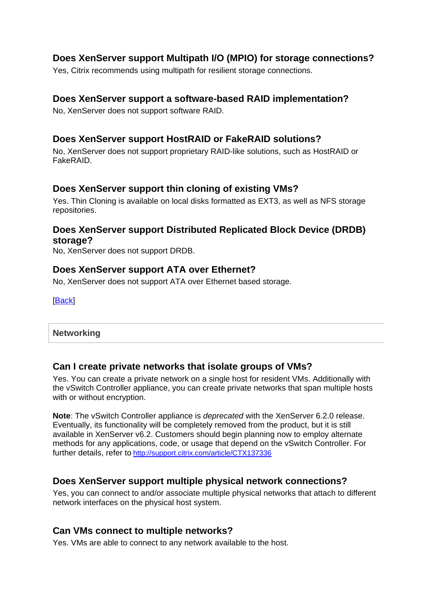# **Does XenServer support Multipath I/O (MPIO) for storage connections?**

Yes, Citrix recommends using multipath for resilient storage connections.

### **Does XenServer support a software-based RAID implementation?**

No, XenServer does not support software RAID.

### **Does XenServer support HostRAID or FakeRAID solutions?**

No, XenServer does not support proprietary RAID-like solutions, such as HostRAID or FakeRAID.

## **Does XenServer support thin cloning of existing VMs?**

Yes. Thin Cloning is available on local disks formatted as EXT3, as well as NFS storage repositories.

## **Does XenServer support Distributed Replicated Block Device (DRDB) storage?**

No, XenServer does not support DRDB.

### **Does XenServer support ATA over Ethernet?**

No, XenServer does not support ATA over Ethernet based storage.

[Back]

#### **Networking**

## **Can I create private networks that isolate groups of VMs?**

Yes. You can create a private network on a single host for resident VMs. Additionally with the vSwitch Controller appliance, you can create private networks that span multiple hosts with or without encryption.

**Note**: The vSwitch Controller appliance is *deprecated* with the XenServer 6.2.0 release. Eventually, its functionality will be completely removed from the product, but it is still available in XenServer v6.2. Customers should begin planning now to employ alternate methods for any applications, code, or usage that depend on the vSwitch Controller. For further details, refer to http://support.citrix.com/article/CTX137336

## **Does XenServer support multiple physical network connections?**

Yes, you can connect to and/or associate multiple physical networks that attach to different network interfaces on the physical host system.

#### **Can VMs connect to multiple networks?**

Yes. VMs are able to connect to any network available to the host.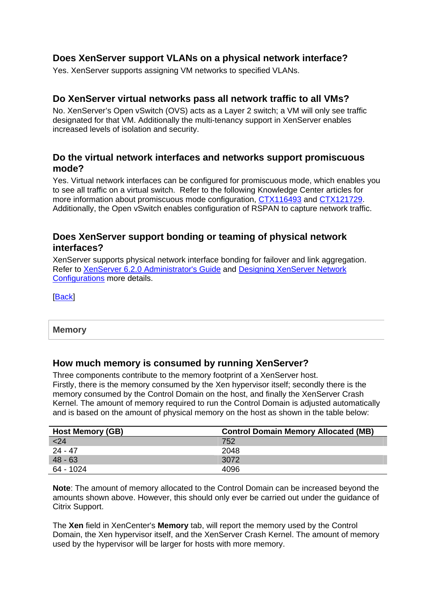# **Does XenServer support VLANs on a physical network interface?**

Yes. XenServer supports assigning VM networks to specified VLANs.

### **Do XenServer virtual networks pass all network traffic to all VMs?**

No. XenServer's Open vSwitch (OVS) acts as a Layer 2 switch; a VM will only see traffic designated for that VM. Additionally the multi-tenancy support in XenServer enables increased levels of isolation and security.

### **Do the virtual network interfaces and networks support promiscuous mode?**

Yes. Virtual network interfaces can be configured for promiscuous mode, which enables you to see all traffic on a virtual switch. Refer to the following Knowledge Center articles for more information about promiscuous mode configuration, CTX116493 and CTX121729. Additionally, the Open vSwitch enables configuration of RSPAN to capture network traffic.

### **Does XenServer support bonding or teaming of physical network interfaces?**

XenServer supports physical network interface bonding for failover and link aggregation. Refer to XenServer 6.2.0 Administrator's Guide and Designing XenServer Network Configurations more details.

[Back]

**Memory** 

#### **How much memory is consumed by running XenServer?**

Three components contribute to the memory footprint of a XenServer host. Firstly, there is the memory consumed by the Xen hypervisor itself; secondly there is the memory consumed by the Control Domain on the host, and finally the XenServer Crash Kernel. The amount of memory required to run the Control Domain is adjusted automatically and is based on the amount of physical memory on the host as shown in the table below:

| <b>Host Memory (GB)</b> | <b>Control Domain Memory Allocated (MB)</b> |
|-------------------------|---------------------------------------------|
| < 24                    | 752                                         |
| $24 - 47$               | 2048                                        |
| $48 - 63$               | 3072                                        |
| 64 - 1024               | 4096                                        |

**Note**: The amount of memory allocated to the Control Domain can be increased beyond the amounts shown above. However, this should only ever be carried out under the guidance of Citrix Support.

The **Xen** field in XenCenter's **Memory** tab, will report the memory used by the Control Domain, the Xen hypervisor itself, and the XenServer Crash Kernel. The amount of memory used by the hypervisor will be larger for hosts with more memory.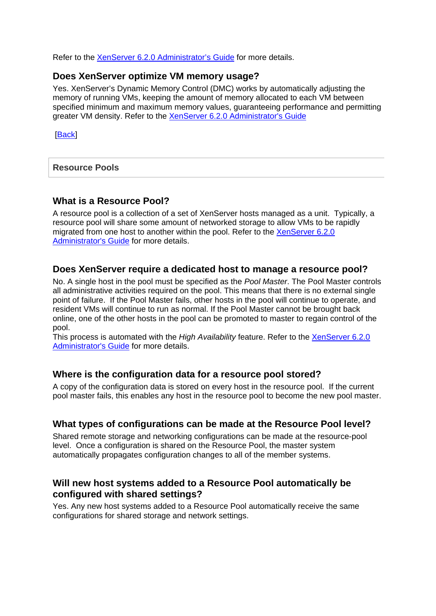Refer to the **XenServer 6.2.0 Administrator's Guide** for more details.

### **Does XenServer optimize VM memory usage?**

Yes. XenServer's Dynamic Memory Control (DMC) works by automatically adjusting the memory of running VMs, keeping the amount of memory allocated to each VM between specified minimum and maximum memory values, guaranteeing performance and permitting greater VM density. Refer to the XenServer 6.2.0 Administrator's Guide

[Back]

#### **Resource Pools**

#### **What is a Resource Pool?**

A resource pool is a collection of a set of XenServer hosts managed as a unit. Typically, a resource pool will share some amount of networked storage to allow VMs to be rapidly migrated from one host to another within the pool. Refer to the XenServer 6.2.0 Administrator's Guide for more details.

#### **Does XenServer require a dedicated host to manage a resource pool?**

No. A single host in the pool must be specified as the *Pool Master*. The Pool Master controls all administrative activities required on the pool. This means that there is no external single point of failure. If the Pool Master fails, other hosts in the pool will continue to operate, and resident VMs will continue to run as normal. If the Pool Master cannot be brought back online, one of the other hosts in the pool can be promoted to master to regain control of the pool.

This process is automated with the *High Availability* feature. Refer to the XenServer 6.2.0 Administrator's Guide for more details.

#### **Where is the configuration data for a resource pool stored?**

A copy of the configuration data is stored on every host in the resource pool. If the current pool master fails, this enables any host in the resource pool to become the new pool master.

#### **What types of configurations can be made at the Resource Pool level?**

Shared remote storage and networking configurations can be made at the resource-pool level. Once a configuration is shared on the Resource Pool, the master system automatically propagates configuration changes to all of the member systems.

### **Will new host systems added to a Resource Pool automatically be configured with shared settings?**

Yes. Any new host systems added to a Resource Pool automatically receive the same configurations for shared storage and network settings.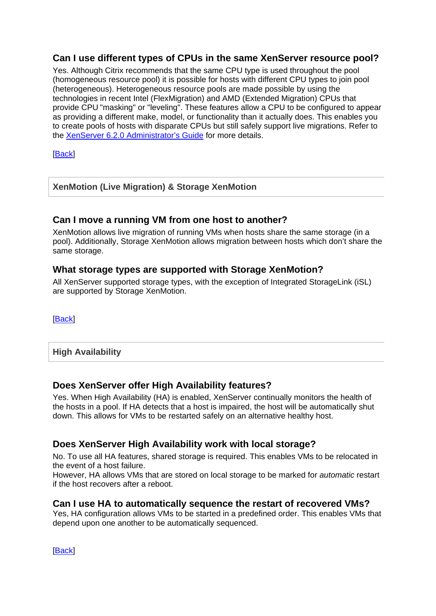# **Can I use different types of CPUs in the same XenServer resource pool?**

Yes. Although Citrix recommends that the same CPU type is used throughout the pool (homogeneous resource pool) it is possible for hosts with different CPU types to join pool (heterogeneous). Heterogeneous resource pools are made possible by using the technologies in recent Intel (FlexMigration) and AMD (Extended Migration) CPUs that provide CPU "masking" or "leveling". These features allow a CPU to be configured to appear as providing a different make, model, or functionality than it actually does. This enables you to create pools of hosts with disparate CPUs but still safely support live migrations. Refer to the XenServer 6.2.0 Administrator's Guide for more details.

[Back]

#### **XenMotion (Live Migration) & Storage XenMotion**

### **Can I move a running VM from one host to another?**

XenMotion allows live migration of running VMs when hosts share the same storage (in a pool). Additionally, Storage XenMotion allows migration between hosts which don't share the same storage.

### **What storage types are supported with Storage XenMotion?**

All XenServer supported storage types, with the exception of Integrated StorageLink (iSL) are supported by Storage XenMotion.

[Back]

**High Availability** 

## **Does XenServer offer High Availability features?**

Yes. When High Availability (HA) is enabled, XenServer continually monitors the health of the hosts in a pool. If HA detects that a host is impaired, the host will be automatically shut down. This allows for VMs to be restarted safely on an alternative healthy host.

## **Does XenServer High Availability work with local storage?**

No. To use all HA features, shared storage is required. This enables VMs to be relocated in the event of a host failure.

However, HA allows VMs that are stored on local storage to be marked for *automatic* restart if the host recovers after a reboot.

#### **Can I use HA to automatically sequence the restart of recovered VMs?**

Yes, HA configuration allows VMs to be started in a predefined order. This enables VMs that depend upon one another to be automatically sequenced.

[Back]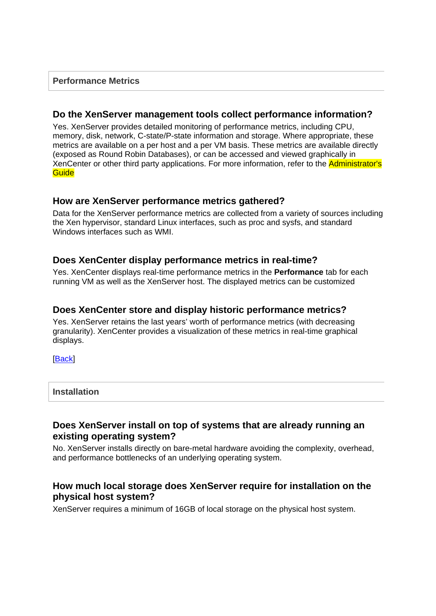#### **Do the XenServer management tools collect performance information?**

Yes. XenServer provides detailed monitoring of performance metrics, including CPU, memory, disk, network, C-state/P-state information and storage. Where appropriate, these metrics are available on a per host and a per VM basis. These metrics are available directly (exposed as Round Robin Databases), or can be accessed and viewed graphically in XenCenter or other third party applications. For more information, refer to the **Administrator's Guide** 

### **How are XenServer performance metrics gathered?**

Data for the XenServer performance metrics are collected from a variety of sources including the Xen hypervisor, standard Linux interfaces, such as proc and sysfs, and standard Windows interfaces such as WMI.

#### **Does XenCenter display performance metrics in real-time?**

Yes. XenCenter displays real-time performance metrics in the **Performance** tab for each running VM as well as the XenServer host. The displayed metrics can be customized

#### **Does XenCenter store and display historic performance metrics?**

Yes. XenServer retains the last years' worth of performance metrics (with decreasing granularity). XenCenter provides a visualization of these metrics in real-time graphical displays.

**[Back]** 

#### **Installation**

### **Does XenServer install on top of systems that are already running an existing operating system?**

No. XenServer installs directly on bare-metal hardware avoiding the complexity, overhead, and performance bottlenecks of an underlying operating system.

### **How much local storage does XenServer require for installation on the physical host system?**

XenServer requires a minimum of 16GB of local storage on the physical host system.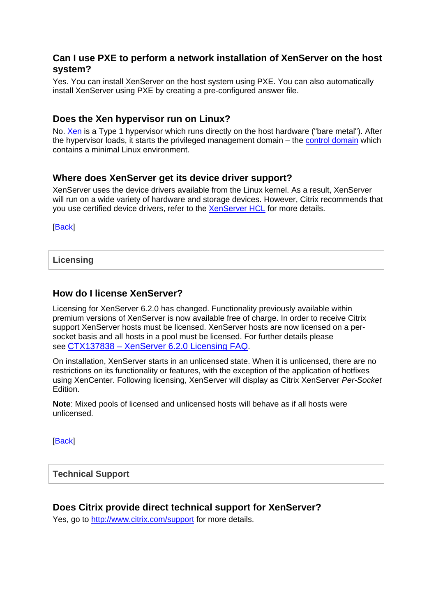## **Can I use PXE to perform a network installation of XenServer on the host system?**

Yes. You can install XenServer on the host system using PXE. You can also automatically install XenServer using PXE by creating a pre-configured answer file.

### **Does the Xen hypervisor run on Linux?**

No. Xen is a Type 1 hypervisor which runs directly on the host hardware ("bare metal"). After the hypervisor loads, it starts the privileged management domain – the control domain which contains a minimal Linux environment.

### **Where does XenServer get its device driver support?**

XenServer uses the device drivers available from the Linux kernel. As a result, XenServer will run on a wide variety of hardware and storage devices. However, Citrix recommends that you use certified device drivers, refer to the XenServer HCL for more details.

[Back]

**Licensing** 

### **How do I license XenServer?**

Licensing for XenServer 6.2.0 has changed. Functionality previously available within premium versions of XenServer is now available free of charge. In order to receive Citrix support XenServer hosts must be licensed. XenServer hosts are now licensed on a persocket basis and all hosts in a pool must be licensed. For further details please see CTX137838 – XenServer 6.2.0 Licensing FAQ.

On installation, XenServer starts in an unlicensed state. When it is unlicensed, there are no restrictions on its functionality or features, with the exception of the application of hotfixes using XenCenter. Following licensing, XenServer will display as Citrix XenServer *Per-Socket* Edition.

**Note**: Mixed pools of licensed and unlicensed hosts will behave as if all hosts were unlicensed.

[Back]

#### **Technical Support**

#### **Does Citrix provide direct technical support for XenServer?**

Yes, go to http://www.citrix.com/support for more details.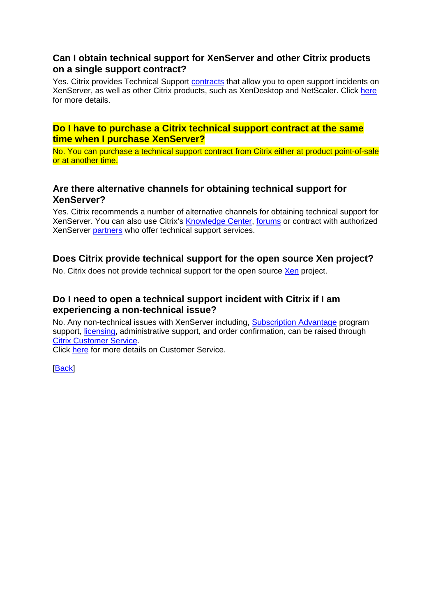## **Can I obtain technical support for XenServer and other Citrix products on a single support contract?**

Yes. Citrix provides Technical Support contracts that allow you to open support incidents on XenServer, as well as other Citrix products, such as XenDesktop and NetScaler. Click here for more details.

**Do I have to purchase a Citrix technical support contract at the same time when I purchase XenServer?** 

No. You can purchase a technical support contract from Citrix either at product point-of-sale or at another time.

## **Are there alternative channels for obtaining technical support for XenServer?**

Yes. Citrix recommends a number of alternative channels for obtaining technical support for XenServer. You can also use Citrix's Knowledge Center, forums or contract with authorized XenServer partners who offer technical support services.

## **Does Citrix provide technical support for the open source Xen project?**

No. Citrix does not provide technical support for the open source Xen project.

# **Do I need to open a technical support incident with Citrix if I am experiencing a non-technical issue?**

No. Any non-technical issues with XenServer including, Subscription Advantage program support, licensing, administrative support, and order confirmation, can be raised through Citrix Customer Service.

Click here for more details on Customer Service.

[Back]